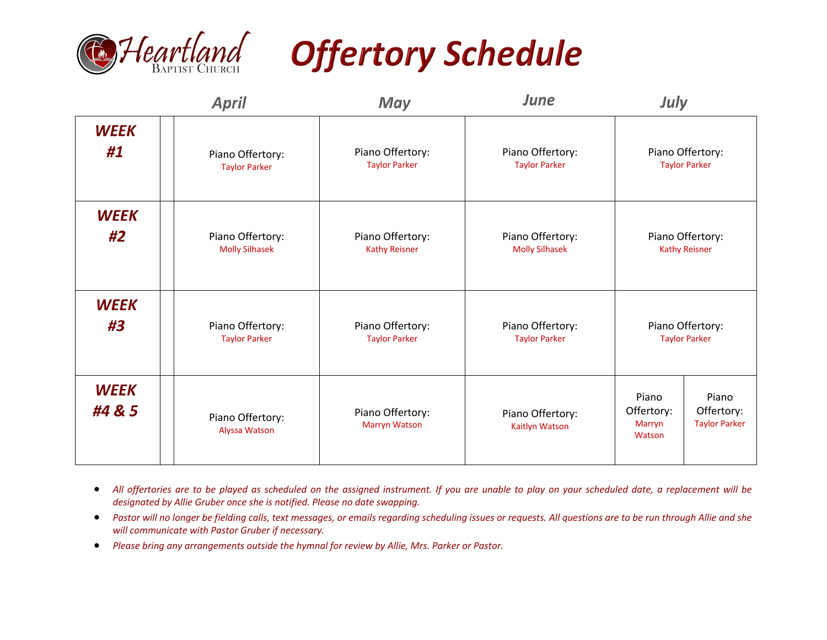

## **Offertory Schedule**

|                       | <b>April</b>                      | May                                      | June                               | July                                    |                                             |
|-----------------------|-----------------------------------|------------------------------------------|------------------------------------|-----------------------------------------|---------------------------------------------|
| <b>WEEK</b>           | Piano Offertory:                  | Piano Offertory:                         | Piano Offertory:                   |                                         | Piano Offertory:                            |
| #1                    | <b>Taylor Parker</b>              | <b>Taylor Parker</b>                     | <b>Taylor Parker</b>               |                                         | <b>Taylor Parker</b>                        |
| <b>WEEK</b>           | Piano Offertory:                  | Piano Offertory:                         | Piano Offertory:                   |                                         | Piano Offertory:                            |
| #2                    | <b>Molly Silhasek</b>             | <b>Kathy Reisner</b>                     | <b>Molly Silhasek</b>              |                                         | <b>Kathy Reisner</b>                        |
| <b>WEEK</b>           | Piano Offertory:                  | Piano Offertory:                         | Piano Offertory:                   |                                         | Piano Offertory:                            |
| #3                    | <b>Taylor Parker</b>              | <b>Taylor Parker</b>                     | <b>Taylor Parker</b>               |                                         | <b>Taylor Parker</b>                        |
| <b>WEEK</b><br>#4 & 5 | Piano Offertory:<br>Alyssa Watson | Piano Offertory:<br><b>Marryn Watson</b> | Piano Offertory:<br>Kaitlyn Watson | Piano<br>Offertory:<br>Marryn<br>Watson | Piano<br>Offertory:<br><b>Taylor Parker</b> |

- *All offertories are to be played as scheduled on the assigned instrument. If you are unable to play on your scheduled date, a replacement will be designated by Allie Gruber once she is notified. Please no date swapping.*
- *Pastor will no longer be fielding calls, text messages, or emails regarding scheduling issues or requests. All questions are to be run through Allie and she will communicate with Pastor Gruber if necessary.*
- *Please bring any arrangements outside the hymnal for review by Allie, Mrs. Parker or Pastor.*